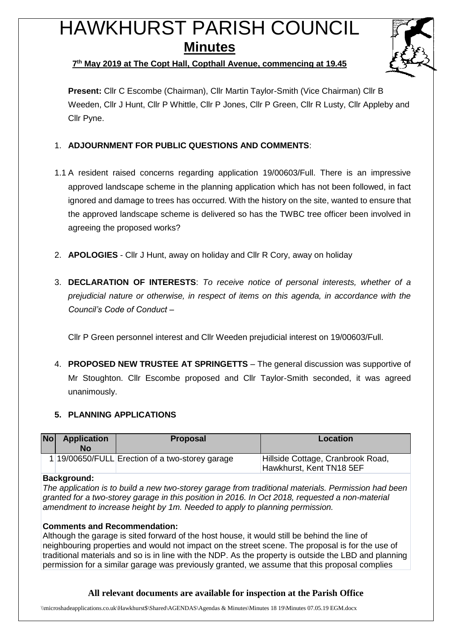# HAWKHURST PARISH COUNCIL **Minutes**



## **7 th May 2019 at The Copt Hall, Copthall Avenue, commencing at 19.45**

**Present:** Cllr C Escombe (Chairman), Cllr Martin Taylor-Smith (Vice Chairman) Cllr B Weeden, Cllr J Hunt, Cllr P Whittle, Cllr P Jones, Cllr P Green, Cllr R Lusty, Cllr Appleby and Cllr Pyne.

- 1. **ADJOURNMENT FOR PUBLIC QUESTIONS AND COMMENTS**:
- 1.1 A resident raised concerns regarding application 19/00603/Full. There is an impressive approved landscape scheme in the planning application which has not been followed, in fact ignored and damage to trees has occurred. With the history on the site, wanted to ensure that the approved landscape scheme is delivered so has the TWBC tree officer been involved in agreeing the proposed works?
- 2. **APOLOGIES** Cllr J Hunt, away on holiday and Cllr R Cory, away on holiday
- 3. **DECLARATION OF INTERESTS**: *To receive notice of personal interests, whether of a prejudicial nature or otherwise, in respect of items on this agenda, in accordance with the Council's Code of Conduct* –

Cllr P Green personnel interest and Cllr Weeden prejudicial interest on 19/00603/Full.

4. **PROPOSED NEW TRUSTEE AT SPRINGETTS** – The general discussion was supportive of Mr Stoughton. Cllr Escombe proposed and Cllr Taylor-Smith seconded, it was agreed unanimously.

# **5. PLANNING APPLICATIONS**

| Nol | <b>Application</b><br>No | <b>Proposal</b>                                 | Location                                                      |
|-----|--------------------------|-------------------------------------------------|---------------------------------------------------------------|
|     |                          | 1 19/00650/FULL Erection of a two-storey garage | Hillside Cottage, Cranbrook Road,<br>Hawkhurst, Kent TN18 5EF |

## **Background:**

*The application is to build a new two-storey garage from traditional materials. Permission had been granted for a two-storey garage in this position in 2016. In Oct 2018, requested a non-material amendment to increase height by 1m. Needed to apply to planning permission.*

## **Comments and Recommendation:**

Although the garage is sited forward of the host house, it would still be behind the line of neighbouring properties and would not impact on the street scene. The proposal is for the use of traditional materials and so is in line with the NDP. As the property is outside the LBD and planning permission for a similar garage was previously granted, we assume that this proposal complies

# **All relevant documents are available for inspection at the Parish Office**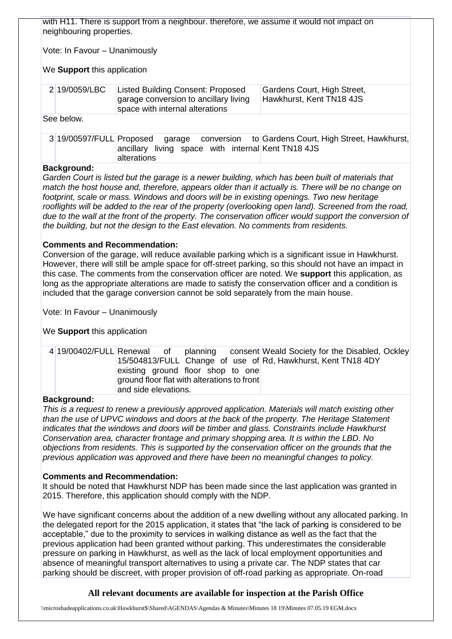| with H11. There is support from a neighbour. therefore, we assume it would not impact on<br>neighbouring properties.                                                                                                                                                                                                                                                                                                                 |                          |                                                                                                               |                                                         |  |  |
|--------------------------------------------------------------------------------------------------------------------------------------------------------------------------------------------------------------------------------------------------------------------------------------------------------------------------------------------------------------------------------------------------------------------------------------|--------------------------|---------------------------------------------------------------------------------------------------------------|---------------------------------------------------------|--|--|
| Vote: In Favour - Unanimously                                                                                                                                                                                                                                                                                                                                                                                                        |                          |                                                                                                               |                                                         |  |  |
| We <b>Support</b> this application                                                                                                                                                                                                                                                                                                                                                                                                   |                          |                                                                                                               |                                                         |  |  |
|                                                                                                                                                                                                                                                                                                                                                                                                                                      | 2 19/0059/LBC            | Listed Building Consent: Proposed<br>garage conversion to ancillary living<br>space with internal alterations | Gardens Court, High Street,<br>Hawkhurst, Kent TN18 4JS |  |  |
| See below.                                                                                                                                                                                                                                                                                                                                                                                                                           |                          |                                                                                                               |                                                         |  |  |
|                                                                                                                                                                                                                                                                                                                                                                                                                                      | 3 19/00597/FULL Proposed | conversion<br>garage<br>ancillary living space with internal Kent TN18 4JS<br>alterations                     | to Gardens Court, High Street, Hawkhurst,               |  |  |
| <b>Background:</b><br>Garden Court is listed but the garage is a newer building, which has been built of materials that<br>match the host house and, therefore, appears older than it actually is. There will be no change on<br>footprint, scale or mass. Windows and doors will be in existing openings. Two new heritage<br>rooflights will be added to the rear of the property (overlooking open land). Screened from the road, |                          |                                                                                                               |                                                         |  |  |

#### **Comments and Recommendation:**

Conversion of the garage, will reduce available parking which is a significant issue in Hawkhurst. However, there will still be ample space for off-street parking, so this should not have an impact in this case. The comments from the conservation officer are noted. We **support** this application, as long as the appropriate alterations are made to satisfy the conservation officer and a condition is included that the garage conversion cannot be sold separately from the main house.

*due to the wall at the front of the property. The conservation officer would support the conversion of* 

*the building, but not the design to the East elevation. No comments from residents.*

Vote: In Favour – Unanimously

We **Support** this application

| existing ground floor shop to one<br>ground floor flat with alterations to front |  | 4 19/00402/FULL Renewal of planning consent Weald Society for the Disabled, Ockley<br>15/504813/FULL Change of use of Rd, Hawkhurst, Kent TN18 4DY |  |
|----------------------------------------------------------------------------------|--|----------------------------------------------------------------------------------------------------------------------------------------------------|--|
| and side elevations.                                                             |  |                                                                                                                                                    |  |

#### **Background:**

*This is a request to renew a previously approved application. Materials will match existing other than the use of UPVC windows and doors at the back of the property. The Heritage Statement indicates that the windows and doors will be timber and glass. Constraints include Hawkhurst Conservation area, character frontage and primary shopping area. It is within the LBD. No objections from residents. This is supported by the conservation officer on the grounds that the previous application was approved and there have been no meaningful changes to policy.*

#### **Comments and Recommendation:**

It should be noted that Hawkhurst NDP has been made since the last application was granted in 2015. Therefore, this application should comply with the NDP.

We have significant concerns about the addition of a new dwelling without any allocated parking. In the delegated report for the 2015 application, it states that "the lack of parking is considered to be acceptable," due to the proximity to services in walking distance as well as the fact that the previous application had been granted without parking. This underestimates the considerable pressure on parking in Hawkhurst, as well as the lack of local employment opportunities and absence of meaningful transport alternatives to using a private car. The NDP states that car parking should be discreet, with proper provision of off-road parking as appropriate. On-road

## **All relevant documents are available for inspection at the Parish Office**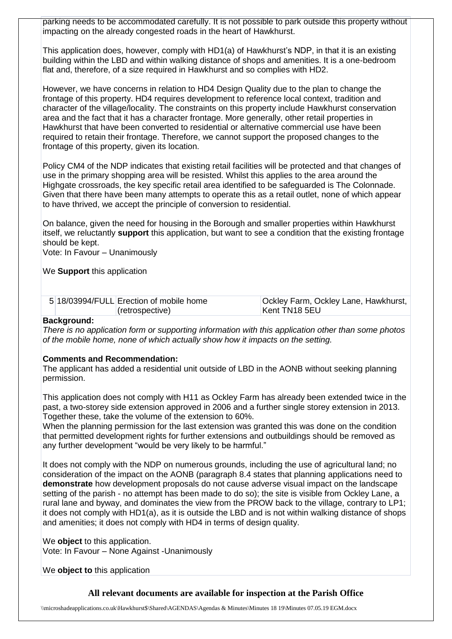parking needs to be accommodated carefully. It is not possible to park outside this property without impacting on the already congested roads in the heart of Hawkhurst.

This application does, however, comply with HD1(a) of Hawkhurst's NDP, in that it is an existing building within the LBD and within walking distance of shops and amenities. It is a one-bedroom flat and, therefore, of a size required in Hawkhurst and so complies with HD2.

However, we have concerns in relation to HD4 Design Quality due to the plan to change the frontage of this property. HD4 requires development to reference local context, tradition and character of the village/locality. The constraints on this property include Hawkhurst conservation area and the fact that it has a character frontage. More generally, other retail properties in Hawkhurst that have been converted to residential or alternative commercial use have been required to retain their frontage. Therefore, we cannot support the proposed changes to the frontage of this property, given its location.

Policy CM4 of the NDP indicates that existing retail facilities will be protected and that changes of use in the primary shopping area will be resisted. Whilst this applies to the area around the Highgate crossroads, the key specific retail area identified to be safeguarded is The Colonnade. Given that there have been many attempts to operate this as a retail outlet, none of which appear to have thrived, we accept the principle of conversion to residential.

On balance, given the need for housing in the Borough and smaller properties within Hawkhurst itself, we reluctantly **support** this application, but want to see a condition that the existing frontage should be kept.

Vote: In Favour – Unanimously

We **Support** this application

| 5 18/03994/FULL Erection of mobile home | Ockley Farm, Ockley Lane, Hawkhurst, |  |  |
|-----------------------------------------|--------------------------------------|--|--|
| (retrospective)                         | ∣Kent TN18 5EU                       |  |  |

#### **Background:**

*There is no application form or supporting information with this application other than some photos of the mobile home, none of which actually show how it impacts on the setting.*

#### **Comments and Recommendation:**

The applicant has added a residential unit outside of LBD in the AONB without seeking planning permission.

This application does not comply with H11 as Ockley Farm has already been extended twice in the past, a two-storey side extension approved in 2006 and a further single storey extension in 2013. Together these, take the volume of the extension to 60%.

When the planning permission for the last extension was granted this was done on the condition that permitted development rights for further extensions and outbuildings should be removed as any further development "would be very likely to be harmful."

It does not comply with the NDP on numerous grounds, including the use of agricultural land; no consideration of the impact on the AONB (paragraph 8.4 states that planning applications need to **demonstrate** how development proposals do not cause adverse visual impact on the landscape setting of the parish - no attempt has been made to do so); the site is visible from Ockley Lane, a rural lane and byway, and dominates the view from the PROW back to the village, contrary to LP1; it does not comply with HD1(a), as it is outside the LBD and is not within walking distance of shops and amenities; it does not comply with HD4 in terms of design quality.

We **object** to this application. Vote: In Favour – None Against -Unanimously

We **object to** this application

## **All relevant documents are available for inspection at the Parish Office**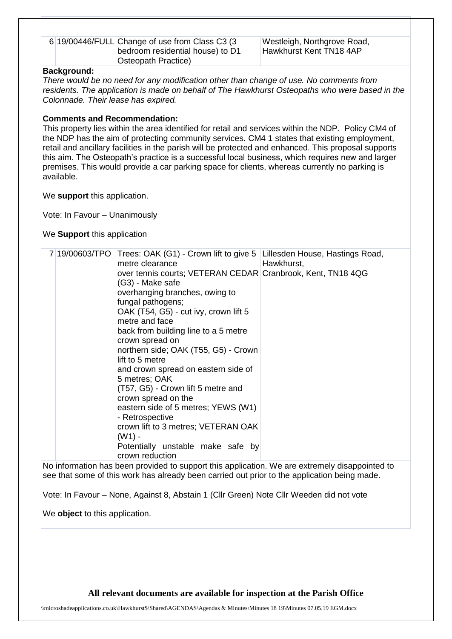| 6 19/00446/FULL Change of use from Class C3 (3 |
|------------------------------------------------|
| bedroom residential house) to D1               |
| Osteopath Practice)                            |

Westleigh, Northgrove Road, Hawkhurst Kent TN18 4AP

#### **Background:**

*There would be no need for any modification other than change of use. No comments from residents. The application is made on behalf of The Hawkhurst Osteopaths who were based in the Colonnade. Their lease has expired.*

#### **Comments and Recommendation:**

This property lies within the area identified for retail and services within the NDP. Policy CM4 of the NDP has the aim of protecting community services. CM4 1 states that existing employment, retail and ancillary facilities in the parish will be protected and enhanced. This proposal supports this aim. The Osteopath's practice is a successful local business, which requires new and larger premises. This would provide a car parking space for clients, whereas currently no parking is available.

We **support** this application.

Vote: In Favour – Unanimously

We **Support** this application

| 7 19/00603/TPO<br>. | Trees: OAK (G1) - Crown lift to give 5<br>metre clearance<br>over tennis courts; VETERAN CEDAR Cranbrook, Kent, TN18 4QG<br>(G3) - Make safe<br>overhanging branches, owing to<br>fungal pathogens;<br>OAK (T54, G5) - cut ivy, crown lift 5<br>metre and face<br>back from building line to a 5 metre<br>crown spread on<br>northern side; OAK (T55, G5) - Crown<br>lift to 5 metre<br>and crown spread on eastern side of<br>5 metres; OAK<br>(T57, G5) - Crown lift 5 metre and<br>crown spread on the<br>eastern side of 5 metres; YEWS (W1)<br>- Retrospective<br>crown lift to 3 metres; VETERAN OAK<br>$(W1) -$<br>Potentially unstable make safe by<br>crown reduction<br>$\mathbf{r}$ , and the state $\mathbf{r}$ | Lillesden House, Hastings Road,<br>Hawkhurst,<br>the contract of the contract of the contract of the contract of the contract of |
|---------------------|-----------------------------------------------------------------------------------------------------------------------------------------------------------------------------------------------------------------------------------------------------------------------------------------------------------------------------------------------------------------------------------------------------------------------------------------------------------------------------------------------------------------------------------------------------------------------------------------------------------------------------------------------------------------------------------------------------------------------------|----------------------------------------------------------------------------------------------------------------------------------|

No information has been provided to support this application. We are extremely disappointed to see that some of this work has already been carried out prior to the application being made.

Vote: In Favour – None, Against 8, Abstain 1 (Cllr Green) Note Cllr Weeden did not vote

We **object** to this application.

**All relevant documents are available for inspection at the Parish Office**